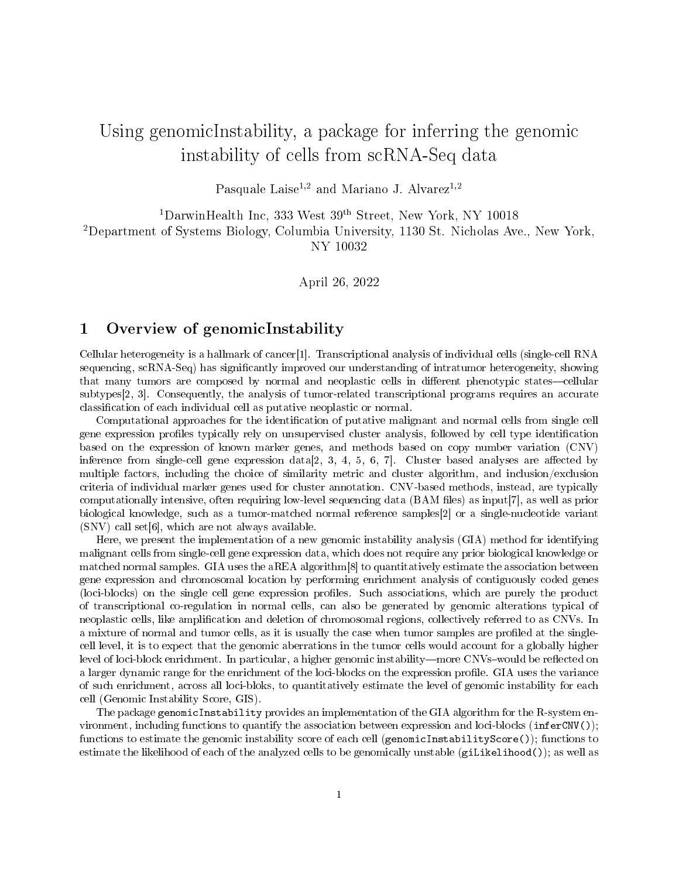# Using genomicInstability, a package for inferring the genomic instability of cells from scRNA-Seq data

Pasquale Laise<sup>1,2</sup> and Mariano J. Alvarez<sup>1,2</sup>

 $^1$ Darwin<br>Health Inc, 333 West $39^{\rm th}$  Street, New York, NY 10018 <sup>2</sup>Department of Systems Biology, Columbia University, 1130 St. Nicholas Ave., New York,

NY 10032

April 26, 2022

## 1 Overview of genomicInstability

Cellular heterogeneity is a hallmark of cancer[\[1\]](#page-10-0). Transcriptional analysis of individual cells (single-cell RNA sequencing, scRNA-Seq) has significantly improved our understanding of intratumor heterogeneity, showing that many tumors are composed by normal and neoplastic cells in different phenotypic states—cellular subtypes[\[2,](#page-10-1) [3\]](#page-10-2). Consequently, the analysis of tumor-related transcriptional programs requires an accurate classification of each individual cell as putative neoplastic or normal.

Computational approaches for the identification of putative malignant and normal cells from single cell gene expression profiles typically rely on unsupervised cluster analysis, followed by cell type identification based on the expression of known marker genes, and methods based on copy number variation (CNV) inference from single-cell gene expression data $[2, 3, 4, 5, 6, 7]$  $[2, 3, 4, 5, 6, 7]$  $[2, 3, 4, 5, 6, 7]$  $[2, 3, 4, 5, 6, 7]$  $[2, 3, 4, 5, 6, 7]$  $[2, 3, 4, 5, 6, 7]$ . Cluster based analyses are affected by multiple factors, including the choice of similarity metric and cluster algorithm, and inclusion/exclusion criteria of individual marker genes used for cluster annotation. CNV-based methods, instead, are typically computationally intensive, often requiring low-level sequencing data (BAM files) as input[\[7\]](#page-10-6), as well as prior biological knowledge, such as a tumor-matched normal reference samples[\[2\]](#page-10-1) or a single-nucleotide variant (SNV) call set[\[6\]](#page-10-5), which are not always available.

Here, we present the implementation of a new genomic instability analysis (GIA) method for identifying malignant cells from single-cell gene expression data, which does not require any prior biological knowledge or matched normal samples. GIA uses the aREA algorithm<sup>[\[8\]](#page-10-7)</sup> to quantitatively estimate the association between gene expression and chromosomal location by performing enrichment analysis of contiguously coded genes (loci-blocks) on the single cell gene expression profiles. Such associations, which are purely the product of transcriptional co-regulation in normal cells, can also be generated by genomic alterations typical of neoplastic cells, like amplication and deletion of chromosomal regions, collectively referred to as CNVs. In a mixture of normal and tumor cells, as it is usually the case when tumor samples are profiled at the singlecell level, it is to expect that the genomic aberrations in the tumor cells would account for a globally higher level of loci-block enrichment. In particular, a higher genomic instability—more CNVs-would be reflected on a larger dynamic range for the enrichment of the loci-blocks on the expression profile. GIA uses the variance of such enrichment, across all loci-bloks, to quantitatively estimate the level of genomic instability for each cell (Genomic Instability Score, GIS).

The package genomicInstability provides an implementation of the GIA algorithm for the R-system environment, including functions to quantify the association between expression and loci-blocks (inferCNV()); functions to estimate the genomic instability score of each cell (genomicInstabilityScore()); functions to estimate the likelihood of each of the analyzed cells to be genomically unstable (giLikelihood()); as well as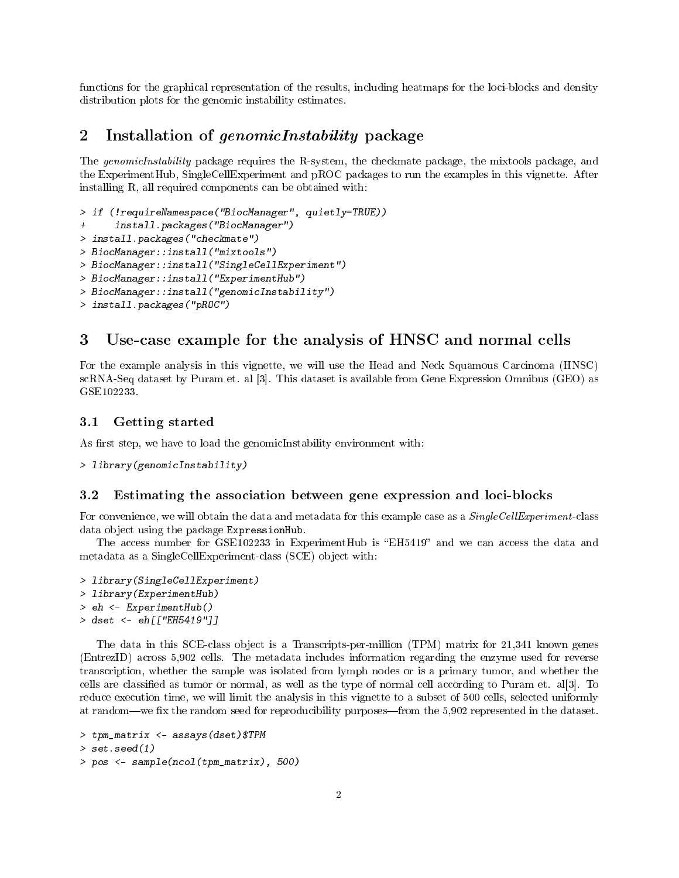functions for the graphical representation of the results, including heatmaps for the loci-blocks and density distribution plots for the genomic instability estimates.

# 2 Installation of genomicInstability package

The genomicInstability package requires the [R-system,](http://www.r-project.org) the [checkmate package,](https://cran.r-project.org/web/packages/checkmate/index.html) the [mixtools package,](http://www.bioconductor.org) and the [ExperimentHub,](https://www.bioconductor.org/packages/release/bioc/html/ExperimentHub.html) [SingleCellExperiment](https://www.bioconductor.org/packages/release/bioc/html/SingleCellExperiment.html) and [pROC](https://cran.r-project.org/web/packages/pROC/) packages to run the examples in this vignette. After installing R, all required components can be obtained with:

```
> if (!requireNamespace("BiocManager", quietly=TRUE))
      install.packages("BiocManager")
> install.packages("checkmate")
> BiocManager::install("mixtools")
> BiocManager::install("SingleCellExperiment")
> BiocManager::install("ExperimentHub")
> BiocManager::install("genomicInstability")
> install.packages("pROC")
```
## 3 Use-case example for the analysis of HNSC and normal cells

For the example analysis in this vignette, we will use the Head and Neck Squamous Carcinoma (HNSC) scRNA-Seq dataset by Puram et. al [\[3\]](#page-10-2). This dataset is available from Gene Expression Omnibus (GEO) as [GSE102233.](https://www.ncbi.nlm.nih.gov/geo/query/acc.cgi?acc=GSE103322)

#### 3.1 Getting started

As first step, we have to load the genomicInstability environment with:

```
> library(genomicInstability)
```
#### 3.2 Estimating the association between gene expression and loci-blocks

For convenience, we will obtain the data and metadata for this example case as a SingleCellExperiment-class data object using the package ExpressionHub.

The access number for GSE102233 in ExperimentHub is "EH5419" and we can access the data and metadata as a SingleCellExperiment-class (SCE) object with:

- > library(SingleCellExperiment) > library(ExperimentHub) > eh <- ExperimentHub()
- > dset <- eh[["EH5419"]]

The data in this SCE-class object is a Transcripts-per-million (TPM) matrix for 21,341 known genes (EntrezID) across 5,902 cells. The metadata includes information regarding the enzyme used for reverse transcription, whether the sample was isolated from lymph nodes or is a primary tumor, and whether the cells are classied as tumor or normal, as well as the type of normal cell according to Puram et. al[\[3\]](#page-10-2). To reduce execution time, we will limit the analysis in this vignette to a subset of 500 cells, selected uniformly at random—we fix the random seed for reproducibility purposes—from the 5,902 represented in the dataset.

```
> tpm_matrix <- assays(dset)$TPM
> set.seed(1)
```

```
> pos <- sample(ncol(tpm_matrix), 500)
```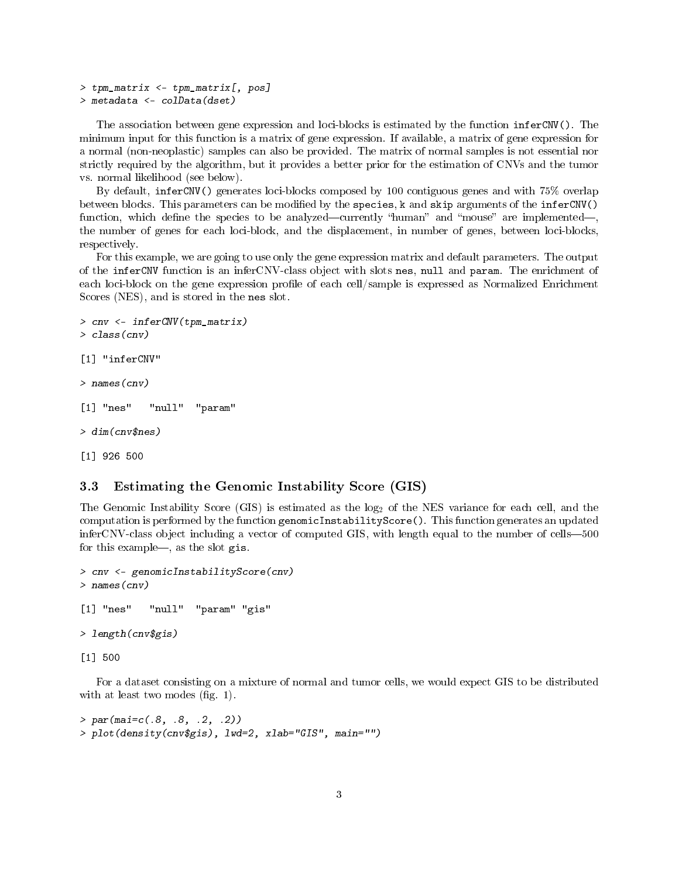```
> tpm matrix \leq tpm matrix [, pos]
> metadata <- colData(dset)
```
The association between gene expression and loci-blocks is estimated by the function inferCNV(). The minimum input for this function is a matrix of gene expression. If available, a matrix of gene expression for a normal (non-neoplastic) samples can also be provided. The matrix of normal samples is not essential nor strictly required by the algorithm, but it provides a better prior for the estimation of CNVs and the tumor vs. normal likelihood (see below).

By default, inferCNV() generates loci-blocks composed by 100 contiguous genes and with 75% overlap between blocks. This parameters can be modified by the species, k and skip arguments of the inferCNV() function, which define the species to be analyzed—currently "human" and "mouse" are implemented the number of genes for each loci-block, and the displacement, in number of genes, between loci-blocks, respectively.

For this example, we are going to use only the gene expression matrix and default parameters. The output of the inferCNV function is an inferCNV-class object with slots nes, null and param. The enrichment of each loci-block on the gene expression profile of each cell/sample is expressed as Normalized Enrichment Scores (NES), and is stored in the nes slot.

```
> cnv <- inferCNV(tpm_matrix)
> class(cnv)
[1] "inferCNV"
> names(cnv)
[1] "nes" "null" "param"
> dim(cnv$nes)
[1] 926 500
```
## 3.3 Estimating the Genomic Instability Score (GIS)

The Genomic Instability Score (GIS) is estimated as the log<sub>2</sub> of the NES variance for each cell, and the computation is performed by the function genomicInstabilityScore(). This function generates an updated inferCNV-class object including a vector of computed GIS, with length equal to the number of cells-500 for this example—, as the slot  $g$ is.

```
> cnv <- genomicInstabilityScore(cnv)
> names(cnv)
[1] "nes" "null" "param" "gis"
> length(cnv$gis)
[1] 500
```
For a dataset consisting on a mixture of normal and tumor cells, we would expect GIS to be distributed with at least two modes (fig.  $1$ ).

```
> par(mai=c(.8, .8, .2, .2))
> plot(density(cnv$gis), lwd=2, xlab="GIS", main="")
```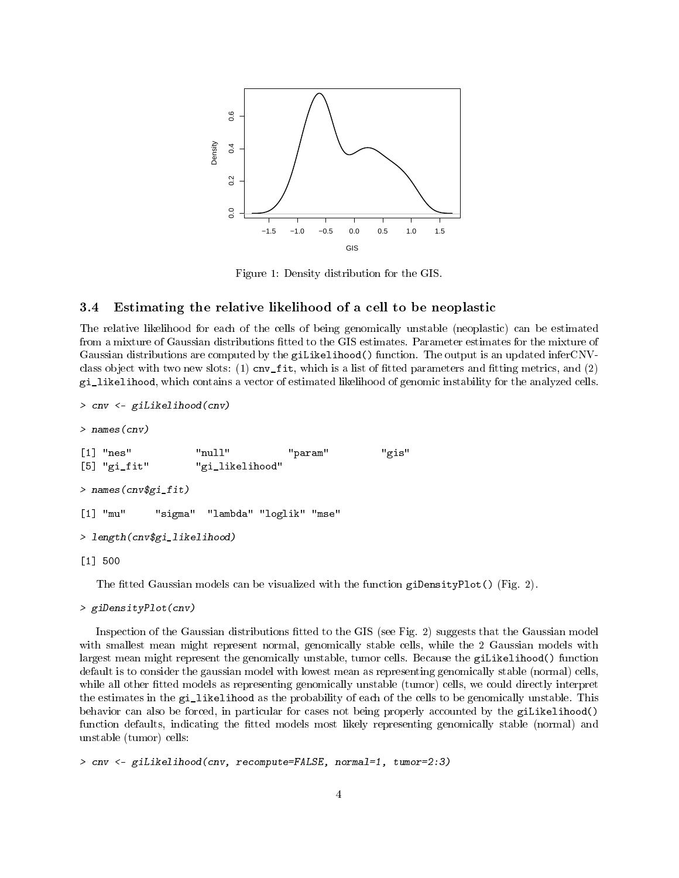

<span id="page-3-0"></span>Figure 1: Density distribution for the GIS.

#### 3.4 Estimating the relative likelihood of a cell to be neoplastic

The relative likelihood for each of the cells of being genomically unstable (neoplastic) can be estimated from a mixture of Gaussian distributions fitted to the GIS estimates. Parameter estimates for the mixture of Gaussian distributions are computed by the giLikelihood() function. The output is an updated inferCNVclass object with two new slots: (1) cnv  $fit$ , which is a list of fitted parameters and fitting metrics, and (2) gi\_likelihood, which contains a vector of estimated likelihood of genomic instability for the analyzed cells.

```
> cnv <- giLikelihood(cnv)
> names(cnv)
[1] "nes" "null" "param" "gis"
[5] "gi_fit" "gi_likelihood"
> names(cnv$gi_fit)
[1] "mu" "sigma" "lambda" "loglik" "mse"
> length(cnv$gi_likelihood)
[1] 500
```
The fitted Gaussian models can be visualized with the function giDensityPlot() (Fig. [2\)](#page-4-0).

```
> giDensityPlot(cnv)
```
Inspection of the Gaussian distributions fitted to the GIS (see Fig. [2\)](#page-4-0) suggests that the Gaussian model with smallest mean might represent normal, genomically stable cells, while the 2 Gaussian models with largest mean might represent the genomically unstable, tumor cells. Because the giLikelihood() function default is to consider the gaussian model with lowest mean as representing genomically stable (normal) cells, while all other fitted models as representing genomically unstable (tumor) cells, we could directly interpret the estimates in the gi\_likelihood as the probability of each of the cells to be genomically unstable. This behavior can also be forced, in particular for cases not being properly accounted by the giLikelihood() function defaults, indicating the fitted models most likely representing genomically stable (normal) and unstable (tumor) cells:

> cnv <- giLikelihood(cnv, recompute=FALSE, normal=1, tumor=2:3)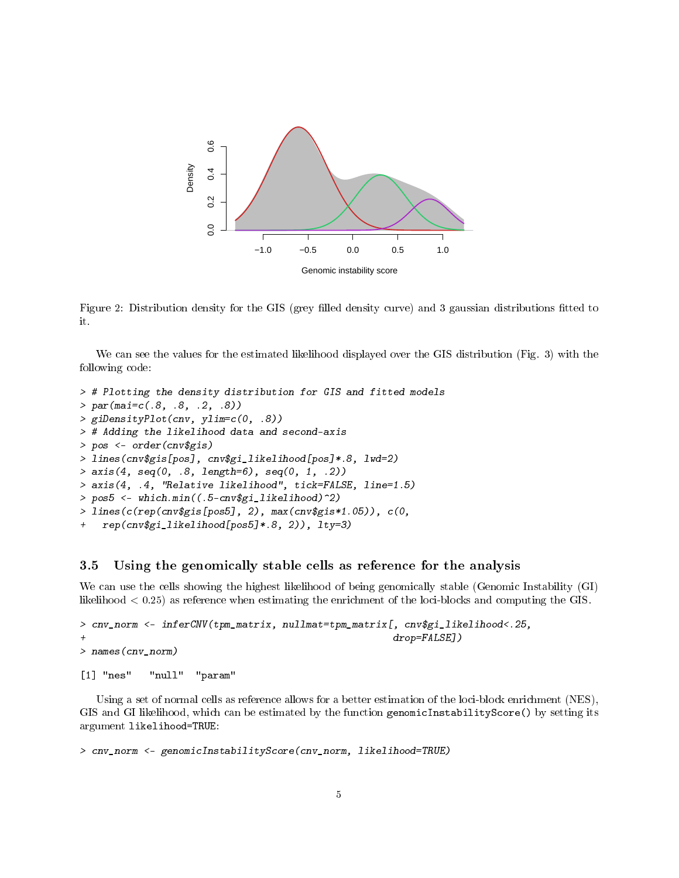

<span id="page-4-0"></span>Figure 2: Distribution density for the GIS (grey filled density curve) and 3 gaussian distributions fitted to it.

We can see the values for the estimated likelihood displayed over the GIS distribution (Fig. [3\)](#page-5-0) with the following code:

```
> # Plotting the density distribution for GIS and fitted models
> par(mai=c(.8, .8, .2, .8))
> giDensityPlot(cnv, ylim=c(0, .8))
> # Adding the likelihood data and second-axis
> pos <- order(cnv$gis)
> lines(cnv$gis[pos], cnv$gi_likelihood[pos]*.8, lwd=2)
> axis(4, seq(0, .8, length=6), seq(0, 1, .2))> axis(4, .4, "Relative likelihood", tick=FALSE, line=1.5)
> pos5 <- which.min((.5-cnv$gi_likelihood)^2)
> lines(c(rep(cnv$gis[pos5], 2), max(cnv$gis*1.05)), c(0,
   rep(cnv$gi_likelihood[pos5]*.8, 2)), lty=3)
```
### 3.5 Using the genomically stable cells as reference for the analysis

We can use the cells showing the highest likelihood of being genomically stable (Genomic Instability (GI) likelihood < 0.25) as reference when estimating the enrichment of the loci-blocks and computing the GIS.

```
> cnv_norm <- inferCNV(tpm_matrix, nullmat=tpm_matrix[, cnv$gi_likelihood<.25,
+ drop=FALSE])
> names(cnv_norm)
```

```
[1] "nes" "null" "param"
```
Using a set of normal cells as reference allows for a better estimation of the loci-block enrichment (NES), GIS and GI likelihood, which can be estimated by the function genomicInstabilityScore() by setting its argument likelihood=TRUE:

```
> cnv_norm <- genomicInstabilityScore(cnv_norm, likelihood=TRUE)
```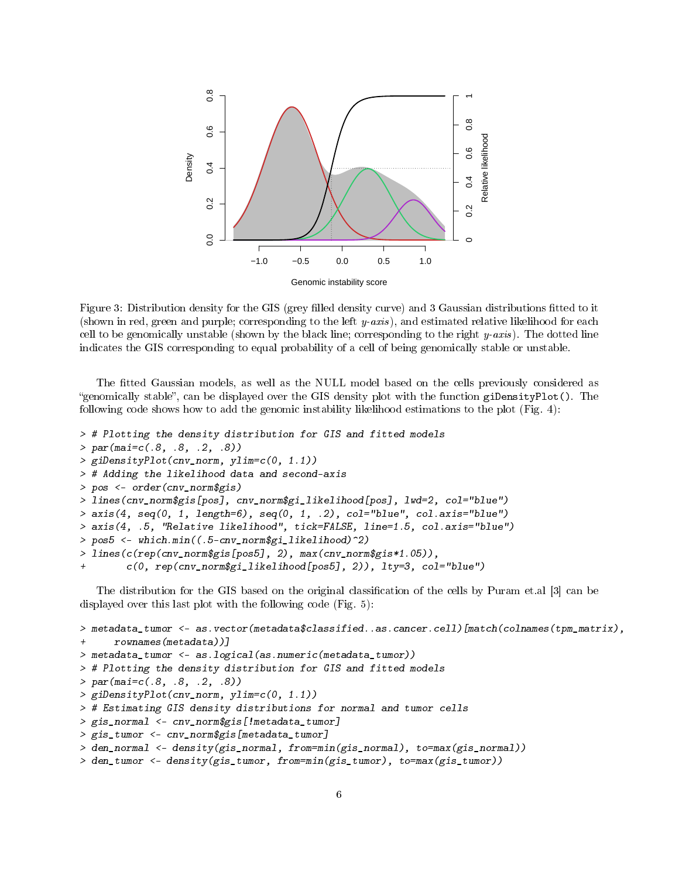

<span id="page-5-0"></span>Figure 3: Distribution density for the GIS (grey filled density curve) and 3 Gaussian distributions fitted to it (shown in red, green and purple; corresponding to the left y-axis), and estimated relative likelihood for each cell to be genomically unstable (shown by the black line; corresponding to the right  $y\text{-}axis$ ). The dotted line indicates the GIS corresponding to equal probability of a cell of being genomically stable or unstable.

The tted Gaussian models, as well as the NULL model based on the cells previously considered as "genomically stable", can be displayed over the GIS density plot with the function giDensityPlot(). The following code shows how to add the genomic instability likelihood estimations to the plot (Fig. [4\)](#page-6-0):

```
> # Plotting the density distribution for GIS and fitted models
> par(max=c(.8, .8, .2, .8))> giDensityPlot(cnv_norm, ylim=c(0, 1.1))
> # Adding the likelihood data and second-axis
> pos <- order(cnv_norm$gis)
> lines(cnv_norm$gis[pos], cnv_norm$gi_likelihood[pos], lwd=2, col="blue")
> axis(4, seq(0, 1, length=6), seq(0, 1, .2), col="blue", col.axis="blue")
> axis(4, .5, "Relative likelihood", tick=FALSE, line=1.5, col.axis="blue")
> pos5 <- which.min((.5-cnv_norm$gi_likelihood)^2)
> lines(c(rep(cnv_norm$gis[pos5], 2), max(cnv_norm$gis*1.05)),
+ c(0, rep(cnv_norm$gi_likelihood[pos5], 2)), lty=3, col="blue")
```
The distribution for the GIS based on the original classification of the cells by Puram et.al [\[3\]](#page-10-2) can be displayed over this last plot with the following code (Fig. [5\)](#page-7-0):

```
> metadata_tumor <- as.vector(metadata$classified..as.cancer.cell)[match(colnames(tpm_matrix),
+ rownames(metadata))]
> metadata_tumor <- as.logical(as.numeric(metadata_tumor))
> # Plotting the density distribution for GIS and fitted models
> par(mai=c(.8, .8, .2, .8))
> giDensityPlot(cnv_norm, ylim=c(0, 1.1))
> # Estimating GIS density distributions for normal and tumor cells
> gis_normal <- cnv_norm$gis[!metadata_tumor]
> gis_tumor <- cnv_norm$gis[metadata_tumor]
> den_normal <- density(gis_normal, from=min(gis_normal), to=max(gis_normal))
> den_tumor <- density(gis_tumor, from=min(gis_tumor), to=max(gis_tumor))
```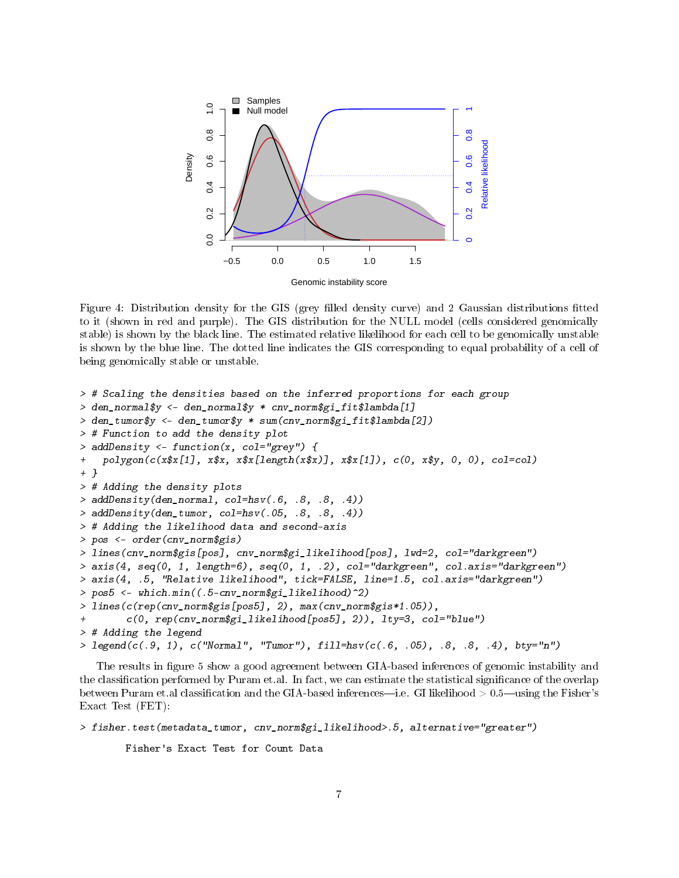

<span id="page-6-0"></span>Figure 4: Distribution density for the GIS (grey filled density curve) and 2 Gaussian distributions fitted to it (shown in red and purple). The GIS distribution for the NULL model (cells considered genomically stable) is shown by the black line. The estimated relative likelihood for each cell to be genomically unstable is shown by the blue line. The dotted line indicates the GIS corresponding to equal probability of a cell of being genomically stable or unstable.

```
> # Scaling the densities based on the inferred proportions for each group
> den_normal$y <- den_normal$y * cnv_norm$gi_fit$lambda[1]
> den_tumor$y <- den_tumor$y * sum(cnv_norm$gi_fit$lambda[2])
> # Function to add the density plot
> addDensity <- function(x, col="grey") {
+ polygon(c(x$x[1], x$x, x$x[length(x$x)], x$x[1]), c(0, x$y, 0, 0), col=col)
+ }
> # Adding the density plots
> addDensity(den_normal, col=hsv(.6, .8, .8, .4))
> addDensity(den_tumor, col=hsv(.05, .8, .8, .4))
> # Adding the likelihood data and second-axis
> pos <- order(cnv_norm$gis)
> lines(cnv_norm$gis[pos], cnv_norm$gi_likelihood[pos], lwd=2, col="darkgreen")
> axis(4, seq(0, 1, length=6), seq(0, 1, .2), col="darkgreen", col.axis="darkgreen")
> axis(4, .5, "Relative likelihood", tick=FALSE, line=1.5, col.axis="darkgreen")
> pos5 <- which.min((.5-cnv_norm$gi_likelihood)^2)
> lines(c(rep(cnv_norm$gis[pos5], 2), max(cnv_norm$gis*1.05)),
        c(0, rep(cnv_norm\gi_likelihood[pos5], 2)), lty=3, col="blue")
> # Adding the legend
> legend(c(.9, 1), c("Normal", "Tumor"), fill=hsv(c(.6, .05), .8, .8, .4), bty="n")
```
The results in figure [5](#page-7-0) show a good agreement between GIA-based inferences of genomic instability and the classification performed by Puram et.al. In fact, we can estimate the statistical significance of the overlap between Puram et.al classification and the GIA-based inferences—i.e. GI likelihood  $> 0.5$ —using the Fisher's Exact Test (FET):

```
> fisher.test(metadata_tumor, cnv_norm$gi_likelihood>.5, alternative="greater")
```

```
Fisher's Exact Test for Count Data
```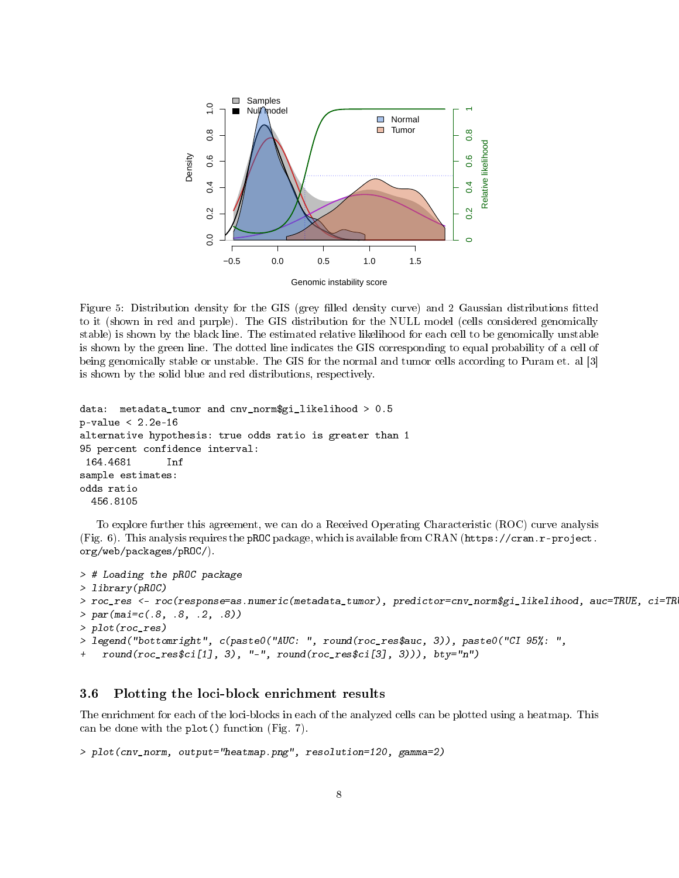

<span id="page-7-0"></span>Figure 5: Distribution density for the GIS (grey filled density curve) and 2 Gaussian distributions fitted to it (shown in red and purple). The GIS distribution for the NULL model (cells considered genomically stable) is shown by the black line. The estimated relative likelihood for each cell to be genomically unstable is shown by the green line. The dotted line indicates the GIS corresponding to equal probability of a cell of being genomically stable or unstable. The GIS for the normal and tumor cells according to Puram et. al [\[3\]](#page-10-2) is shown by the solid blue and red distributions, respectively.

```
data: metadata_tumor and cnv_norm$gi_likelihood > 0.5
p-value < 2.2e-16
alternative hypothesis: true odds ratio is greater than 1
95 percent confidence interval:
 164.4681 Inf
sample estimates:
odds ratio
  456.8105
```
To explore further this agreement, we can do a Received Operating Characteristic (ROC) curve analysis (Fig. [6\)](#page-8-0). This analysis requires the pROC package, which is available from CRAN [\(https://cran.r-project.](https://cran.r-project.org/web/packages/pROC/) [org/web/packages/pROC/\)](https://cran.r-project.org/web/packages/pROC/).

```
> # Loading the pROC package
> library(pROC)
> roc_res <- roc(response=as.numeric(metadata_tumor), predictor=cnv_norm$gi_likelihood, auc=TRUE, ci=TRUE)
> par(max=c(.8, .8, .2, .8))> plot(roc_res)
> legend("bottomright", c(paste0("AUC: ", round(roc_res$auc, 3)), paste0("CI 95%: ",
    round(roc\_res$ci[1], 3), "-", round(roc\_res$ci[3], 3)), bty="n")
```
## 3.6 Plotting the loci-block enrichment results

The enrichment for each of the loci-blocks in each of the analyzed cells can be plotted using a heatmap. This can be done with the plot() function (Fig. [7\)](#page-8-1).

```
> plot(cnv_norm, output="heatmap.png", resolution=120, gamma=2)
```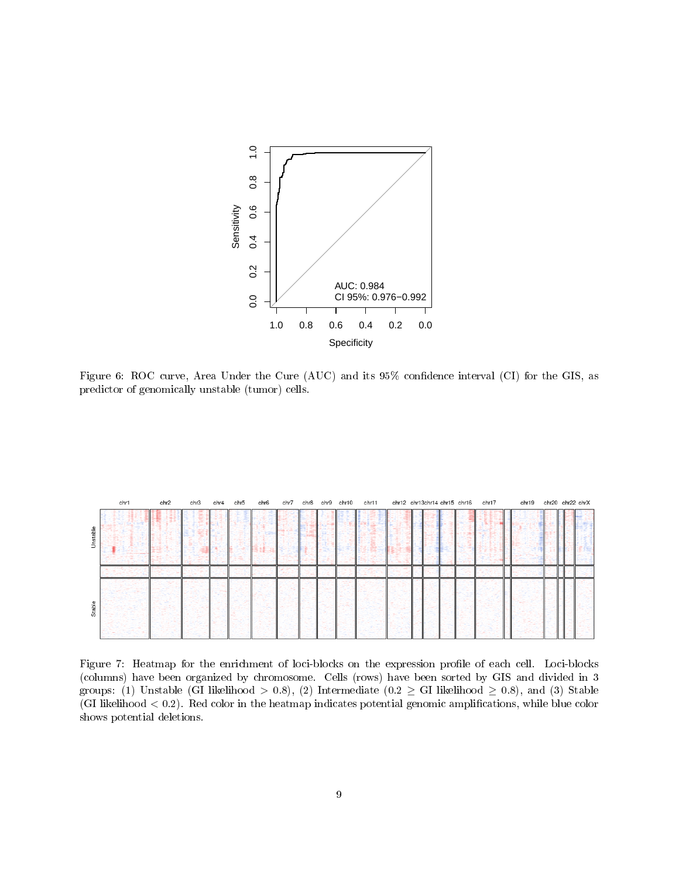

<span id="page-8-0"></span>Figure 6: ROC curve, Area Under the Cure (AUC) and its 95% confidence interval (CI) for the GIS, as predictor of genomically unstable (tumor) cells.

|          | chr1 | chr2 | chr3 | chr4 | chr5 | chr6 |  | chr7 chr8 chr9 chr10 | chr11 |  | chr12 chr13chr14 chr15 chr16 chr17 | chr19 | chr20 chr22 chrX |  |
|----------|------|------|------|------|------|------|--|----------------------|-------|--|------------------------------------|-------|------------------|--|
| Unstable |      |      |      |      |      |      |  |                      |       |  |                                    |       |                  |  |
| Stable   |      |      |      |      |      |      |  |                      |       |  |                                    |       |                  |  |

<span id="page-8-1"></span>Figure 7: Heatmap for the enrichment of loci-blocks on the expression profile of each cell. Loci-blocks (columns) have been organized by chromosome. Cells (rows) have been sorted by GIS and divided in 3 groups: (1) Unstable (GI likelihood > 0.8), (2) Intermediate (0.2  $\geq$  GI likelihood  $\geq$  0.8), and (3) Stable  $(GI)$  likelihood  $(1, 2)$ . Red color in the heatmap indicates potential genomic amplifications, while blue color shows potential deletions.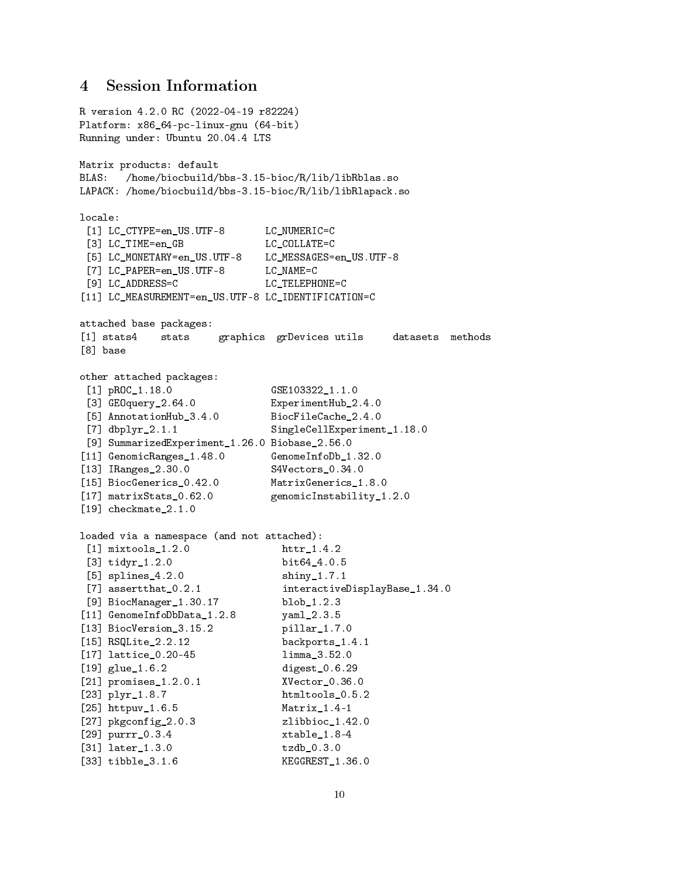## 4 Session Information

```
R version 4.2.0 RC (2022-04-19 r82224)
Platform: x86_64-pc-linux-gnu (64-bit)
Running under: Ubuntu 20.04.4 LTS
Matrix products: default
BLAS: /home/biocbuild/bbs-3.15-bioc/R/lib/libRblas.so
LAPACK: /home/biocbuild/bbs-3.15-bioc/R/lib/libRlapack.so
locale:
 [1] LC_CTYPE=en_US.UTF-8 LC_NUMERIC=C
 [3] LC_TIME=en_GB LC_COLLATE=C
 [5] LC_MONETARY=en_US.UTF-8 LC_MESSAGES=en_US.UTF-8
 [7] LC_PAPER=en_US.UTF-8 LC_NAME=C
[9] LC_ADDRESS=C LC_TELEPHONE=C
[11] LC_MEASUREMENT=en_US.UTF-8 LC_IDENTIFICATION=C
attached base packages:
[1] stats4 stats graphics grDevices utils datasets methods
[8] base
other attached packages:
 [1] pROC_1.18.0 GSE103322_1.1.0
 [3] GEOquery_2.64.0 ExperimentHub_2.4.0
 [5] AnnotationHub_3.4.0 BiocFileCache_2.4.0
 [7] dbplyr_2.1.1 SingleCellExperiment_1.18.0
[9] SummarizedExperiment_1.26.0 Biobase_2.56.0
[11] GenomicRanges_1.48.0 GenomeInfoDb_1.32.0
[13] IRanges_2.30.0 S4Vectors_0.34.0
[15] BiocGenerics_0.42.0 MatrixGenerics_1.8.0
[17] matrixStats_0.62.0 genomicInstability_1.2.0
[19] checkmate_2.1.0
loaded via a namespace (and not attached):
 [1] mixtools_1.2.0 httr_1.4.2
 [3] tidyr_1.2.0 bit64_4.0.5
 [5] splines_4.2.0 shiny_1.7.1
 [7] assertthat_0.2.1 interactiveDisplayBase_1.34.0
[9] BiocManager_1.30.17 blob_1.2.3
[11] GenomeInfoDbData_1.2.8 yaml_2.3.5
[13] BiocVersion_3.15.2 pillar_1.7.0
[15] RSQLite_2.2.12 backports_1.4.1
[17] lattice_0.20-45 limma_3.52.0
[19] glue_1.6.2 digest_0.6.29
[21] promises_1.2.0.1 XVector_0.36.0
[23] plyr_1.8.7 htmltools_0.5.2
[25] httpuv_1.6.5 Matrix_1.4-1
[27] pkgconfig_2.0.3 zlibbioc_1.42.0
[29] purrr_0.3.4 xtable_1.8-4
[31] later_1.3.0 tzdb_0.3.0
[33] tibble_3.1.6 KEGGREST_1.36.0
```